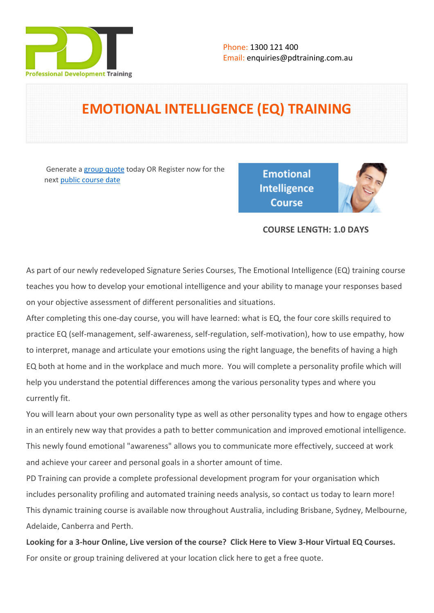

# **EMOTIONAL INTELLIGENCE (EQ) TRAINING**

Generate a [group quote](https://pdtraining.com.au/inhouse-training-quote?cse=PDT038) today OR Register now for the next [public course date](https://pdtraining.com.au/booking?schedulecode=8myPtXfuPsu5MqHjJfS26f14MCe9WMFeUou0ENzLE8J5PfetHUQZiBX3vCd1SfIdXplx5RO6Qgy8F6pGyVCc5P5sABFcJI2xzGhz4Qy0fUjbdYyzmGD7NGhhu27ElLwho8J9Y0MRyL6lF3oLdgZde5&countryCode=AU¤cyCode=AU)

**Emotional Intelligence Course** 



## **COURSE LENGTH: 1.0 DAYS**

As part of our newly redeveloped Signature Series Courses, The Emotional Intelligence (EQ) training course teaches you how to develop your emotional intelligence and your ability to manage your responses based on your objective assessment of different personalities and situations.

After completing this one-day course, you will have learned: what is EQ, the four core skills required to practice EQ (self-management, self-awareness, self-regulation, self-motivation), how to use empathy, how to interpret, manage and articulate your emotions using the right language, the benefits of having a high EQ both at home and in the workplace and much more. You will complete a personality profile which will help you understand the potential differences among the various personality types and where you currently fit.

You will learn about your own personality type as well as other personality types and how to engage others in an entirely new way that provides a path to better communication and improved emotional intelligence. This newly found emotional "awareness" allows you to communicate more effectively, succeed at work and achieve your career and personal goals in a shorter amount of time.

PD Training can provide a complete professional development program for your organisation which includes personality profiling and automated training needs analysis, so contact us today to learn more! This dynamic training course is available now throughout Australia, including Brisbane, Sydney, Melbourne, Adelaide, Canberra and Perth.

**Looking for a 3-hour Online, Live version of the course? [Click Here to View 3-Hour Virtual EQ Courses.](https://pdtraining.com.au/remote-live-training-classes/emotional-intelligence-training-course-Online-Instructor-led-3hours)** For onsite or group training delivered at your location click here to [get a free quote.](https://pdtraining.com.au/bookings/inhouseex1/quoterequestex1a.aspx?cse=PDT038)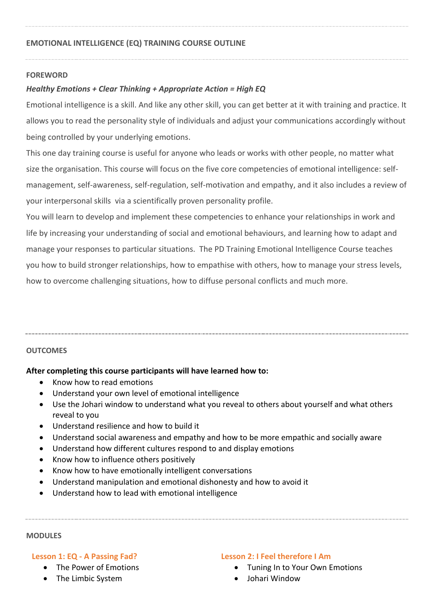#### **FOREWORD**

## *Healthy Emotions + Clear Thinking + Appropriate Action = High EQ*

Emotional intelligence is a skill. And like any other skill, you can get better at it with training and practice. It allows you to read the personality style of individuals and adjust your communications accordingly without being controlled by your underlying emotions.

This one day training course is useful for anyone who leads or works with other people, no matter what size the organisation. This course will focus on the five core competencies of emotional intelligence: selfmanagement, self-awareness, self-regulation, self-motivation and empathy, and it also includes a review of your interpersonal skills via a scientifically proven personality profile.

You will learn to develop and implement these competencies to enhance your relationships in work and life by increasing your understanding of social and emotional behaviours, and learning how to adapt and manage your responses to particular situations. The PD Training Emotional Intelligence Course teaches you how to build stronger relationships, how to empathise with others, how to manage your stress levels, how to overcome challenging situations, how to diffuse personal conflicts and much more.

#### **OUTCOMES**

## **After completing this course participants will have learned how to:**

- Know how to read emotions
- Understand your own level of emotional intelligence
- Use the Johari window to understand what you reveal to others about yourself and what others reveal to you
- Understand resilience and how to build it
- Understand social awareness and empathy and how to be more empathic and socially aware
- Understand how different cultures respond to and display emotions
- Know how to influence others positively
- Know how to have emotionally intelligent conversations
- Understand manipulation and emotional dishonesty and how to avoid it
- Understand how to lead with emotional intelligence

#### **MODULES**

## **Lesson 1: EQ - A Passing Fad?**

- The Power of Emotions
- The Limbic System

#### **Lesson 2: I Feel therefore I Am**

- Tuning In to Your Own Emotions
- Johari Window